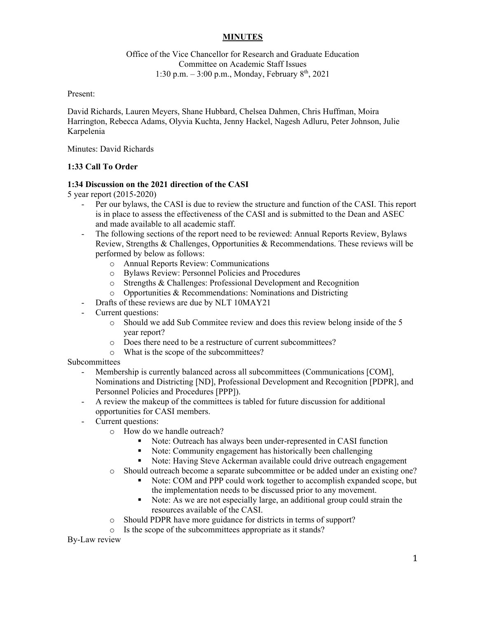## **MINUTES**

## Office of the Vice Chancellor for Research and Graduate Education Committee on Academic Staff Issues 1:30 p.m.  $-3:00$  p.m., Monday, February  $8<sup>th</sup>$ , 2021

Present:

David Richards, Lauren Meyers, Shane Hubbard, Chelsea Dahmen, Chris Huffman, Moira Harrington, Rebecca Adams, Olyvia Kuchta, Jenny Hackel, Nagesh Adluru, Peter Johnson, Julie Karpelenia

Minutes: David Richards

## **1:33 Call To Order**

### **1:34 Discussion on the 2021 direction of the CASI**

5 year report (2015-2020)

- Per our bylaws, the CASI is due to review the structure and function of the CASI. This report is in place to assess the effectiveness of the CASI and is submitted to the Dean and ASEC and made available to all academic staff.
- The following sections of the report need to be reviewed: Annual Reports Review, Bylaws Review, Strengths & Challenges, Opportunities & Recommendations. These reviews will be performed by below as follows:
	- o Annual Reports Review: Communications
	- o Bylaws Review: Personnel Policies and Procedures
	- o Strengths & Challenges: Professional Development and Recognition
	- o Opportunities & Recommendations: Nominations and Districting
- Drafts of these reviews are due by NLT 10MAY21
- Current questions:
	- o Should we add Sub Commitee review and does this review belong inside of the 5 year report?
	- o Does there need to be a restructure of current subcommittees?
	- o What is the scope of the subcommittees?

#### Subcommittees

- Membership is currently balanced across all subcommittees (Communications [COM], Nominations and Districting [ND], Professional Development and Recognition [PDPR], and Personnel Policies and Procedures [PPP]).
- A review the makeup of the committees is tabled for future discussion for additional opportunities for CASI members.
- Current questions:
	- o How do we handle outreach?
		- Note: Outreach has always been under-represented in CASI function
		- Note: Community engagement has historically been challenging
		- Note: Having Steve Ackerman available could drive outreach engagement
	- o Should outreach become a separate subcommittee or be added under an existing one?
		- Note: COM and PPP could work together to accomplish expanded scope, but the implementation needs to be discussed prior to any movement.
		- Note: As we are not especially large, an additional group could strain the resources available of the CASI.
	- o Should PDPR have more guidance for districts in terms of support?
	- o Is the scope of the subcommittees appropriate as it stands?

By-Law review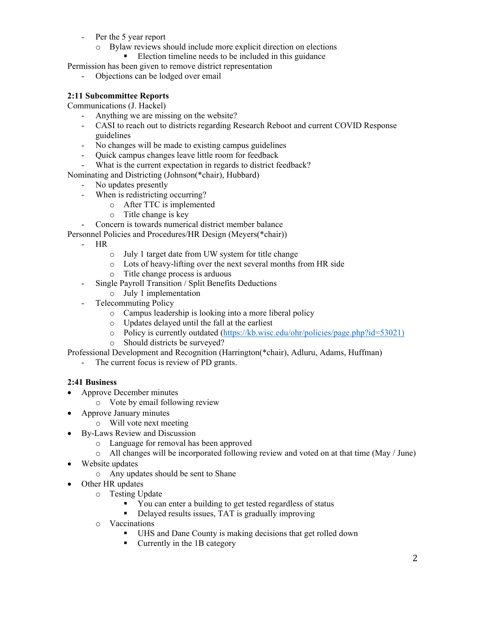- Per the 5 year report
	- o Bylaw reviews should include more explicit direction on elections
		- Election timeline needs to be included in this guidance

Permission has been given to remove district representation

- Objections can be lodged over email

## **2:11 Subcommittee Reports**

Communications (J. Hackel)

- Anything we are missing on the website?
- CASI to reach out to districts regarding Research Reboot and current COVID Response guidelines
- No changes will be made to existing campus guidelines
- Quick campus changes leave little room for feedback
- What is the current expectation in regards to district feedback?

Nominating and Districting (Johnson(\*chair), Hubbard)

- No updates presently
- When is redistricting occurring?
	- o After TTC is implemented
	- o Title change is key
- Concern is towards numerical district member balance
- Personnel Policies and Procedures/HR Design (Meyers(\*chair))
	- HR
		- o July 1 target date from UW system for title change
		- o Lots of heavy-lifting over the next several months from HR side
		- o Title change process is arduous
		- Single Payroll Transition / Split Benefits Deductions
	- o July 1 implementation
	- Telecommuting Policy
		- o Campus leadership is looking into a more liberal policy
		- o Updates delayed until the fall at the earliest
		- o Policy is currently outdated (https://kb.wisc.edu/ohr/policies/page.php?id=53021)
		- o Should districts be surveyed?

Professional Development and Recognition (Harrington(\*chair), Adluru, Adams, Huffman)

The current focus is review of PD grants.

## **2:41 Business**

- Approve December minutes
	- o Vote by email following review
- Approve January minutes
	- o Will vote next meeting
	- By-Laws Review and Discussion
		- o Language for removal has been approved
		- $\circ$  All changes will be incorporated following review and voted on at that time (May / June)
- Website updates
	- o Any updates should be sent to Shane
- Other HR updates
	- o Testing Update
		- You can enter a building to get tested regardless of status
		- Delayed results issues, TAT is gradually improving
	- o Vaccinations
		- UHS and Dane County is making decisions that get rolled down
		- **Currently in the 1B category**